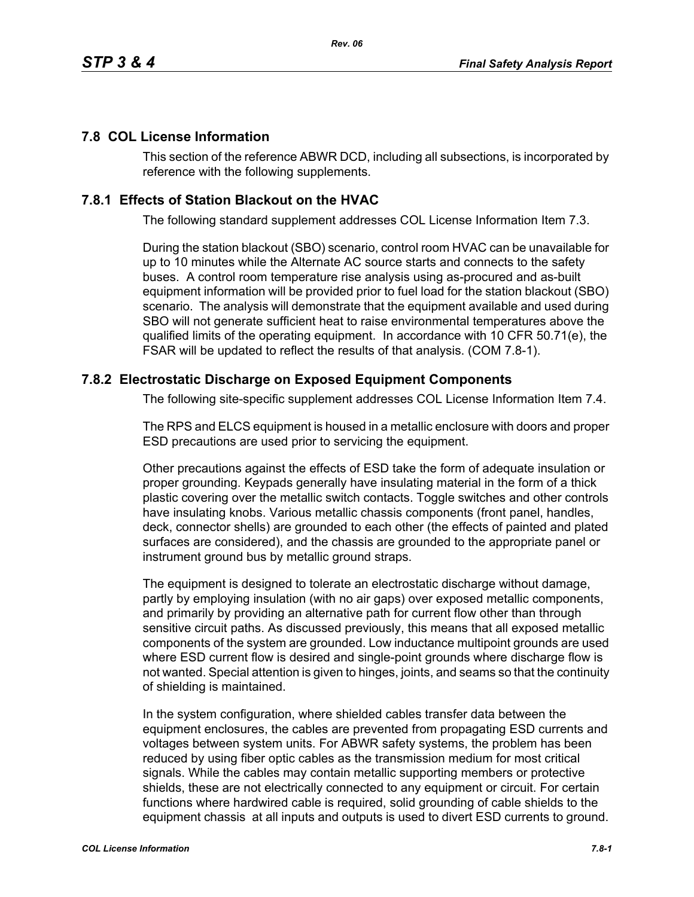## **7.8 COL License Information**

This section of the reference ABWR DCD, including all subsections, is incorporated by reference with the following supplements.

## **7.8.1 Effects of Station Blackout on the HVAC**

The following standard supplement addresses COL License Information Item 7.3.

During the station blackout (SBO) scenario, control room HVAC can be unavailable for up to 10 minutes while the Alternate AC source starts and connects to the safety buses. A control room temperature rise analysis using as-procured and as-built equipment information will be provided prior to fuel load for the station blackout (SBO) scenario. The analysis will demonstrate that the equipment available and used during SBO will not generate sufficient heat to raise environmental temperatures above the qualified limits of the operating equipment. In accordance with 10 CFR 50.71(e), the FSAR will be updated to reflect the results of that analysis. (COM 7.8-1).

## **7.8.2 Electrostatic Discharge on Exposed Equipment Components**

The following site-specific supplement addresses COL License Information Item 7.4.

The RPS and ELCS equipment is housed in a metallic enclosure with doors and proper ESD precautions are used prior to servicing the equipment.

Other precautions against the effects of ESD take the form of adequate insulation or proper grounding. Keypads generally have insulating material in the form of a thick plastic covering over the metallic switch contacts. Toggle switches and other controls have insulating knobs. Various metallic chassis components (front panel, handles, deck, connector shells) are grounded to each other (the effects of painted and plated surfaces are considered), and the chassis are grounded to the appropriate panel or instrument ground bus by metallic ground straps.

The equipment is designed to tolerate an electrostatic discharge without damage, partly by employing insulation (with no air gaps) over exposed metallic components, and primarily by providing an alternative path for current flow other than through sensitive circuit paths. As discussed previously, this means that all exposed metallic components of the system are grounded. Low inductance multipoint grounds are used where ESD current flow is desired and single-point grounds where discharge flow is not wanted. Special attention is given to hinges, joints, and seams so that the continuity of shielding is maintained.

In the system configuration, where shielded cables transfer data between the equipment enclosures, the cables are prevented from propagating ESD currents and voltages between system units. For ABWR safety systems, the problem has been reduced by using fiber optic cables as the transmission medium for most critical signals. While the cables may contain metallic supporting members or protective shields, these are not electrically connected to any equipment or circuit. For certain functions where hardwired cable is required, solid grounding of cable shields to the equipment chassis at all inputs and outputs is used to divert ESD currents to ground.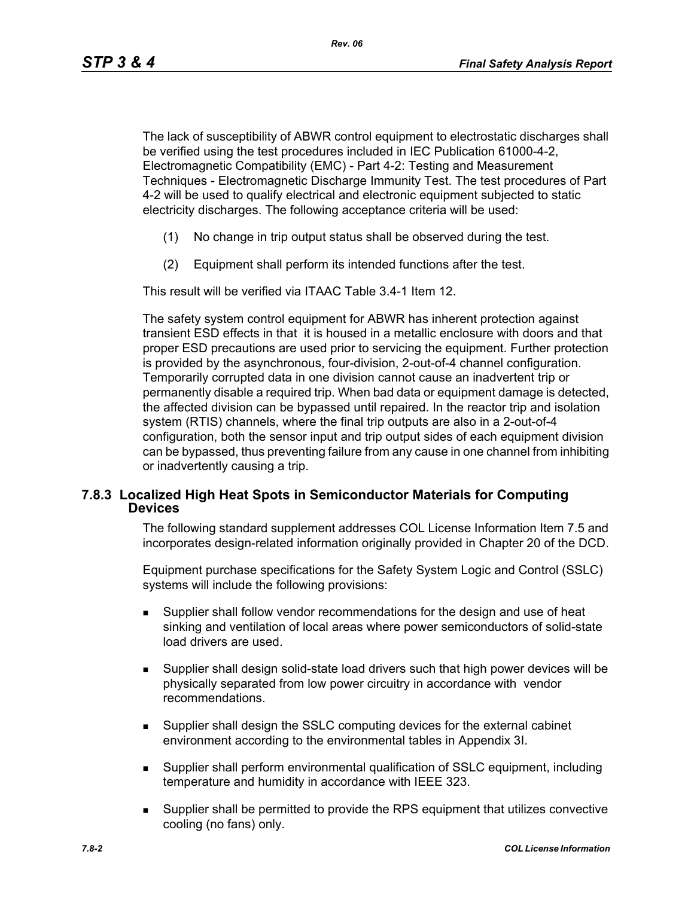The lack of susceptibility of ABWR control equipment to electrostatic discharges shall be verified using the test procedures included in IEC Publication 61000-4-2, Electromagnetic Compatibility (EMC) - Part 4-2: Testing and Measurement Techniques - Electromagnetic Discharge Immunity Test. The test procedures of Part 4-2 will be used to qualify electrical and electronic equipment subjected to static electricity discharges. The following acceptance criteria will be used:

- (1) No change in trip output status shall be observed during the test.
- (2) Equipment shall perform its intended functions after the test.

This result will be verified via ITAAC Table 3.4-1 Item 12.

The safety system control equipment for ABWR has inherent protection against transient ESD effects in that it is housed in a metallic enclosure with doors and that proper ESD precautions are used prior to servicing the equipment. Further protection is provided by the asynchronous, four-division, 2-out-of-4 channel configuration. Temporarily corrupted data in one division cannot cause an inadvertent trip or permanently disable a required trip. When bad data or equipment damage is detected, the affected division can be bypassed until repaired. In the reactor trip and isolation system (RTIS) channels, where the final trip outputs are also in a 2-out-of-4 configuration, both the sensor input and trip output sides of each equipment division can be bypassed, thus preventing failure from any cause in one channel from inhibiting or inadvertently causing a trip.

## **7.8.3 Localized High Heat Spots in Semiconductor Materials for Computing Devices**

The following standard supplement addresses COL License Information Item 7.5 and incorporates design-related information originally provided in Chapter 20 of the DCD.

Equipment purchase specifications for the Safety System Logic and Control (SSLC) systems will include the following provisions:

- Supplier shall follow vendor recommendations for the design and use of heat sinking and ventilation of local areas where power semiconductors of solid-state load drivers are used.
- Supplier shall design solid-state load drivers such that high power devices will be physically separated from low power circuitry in accordance with vendor recommendations.
- Supplier shall design the SSLC computing devices for the external cabinet environment according to the environmental tables in Appendix 3I.
- Supplier shall perform environmental qualification of SSLC equipment, including temperature and humidity in accordance with IEEE 323.
- Supplier shall be permitted to provide the RPS equipment that utilizes convective cooling (no fans) only.